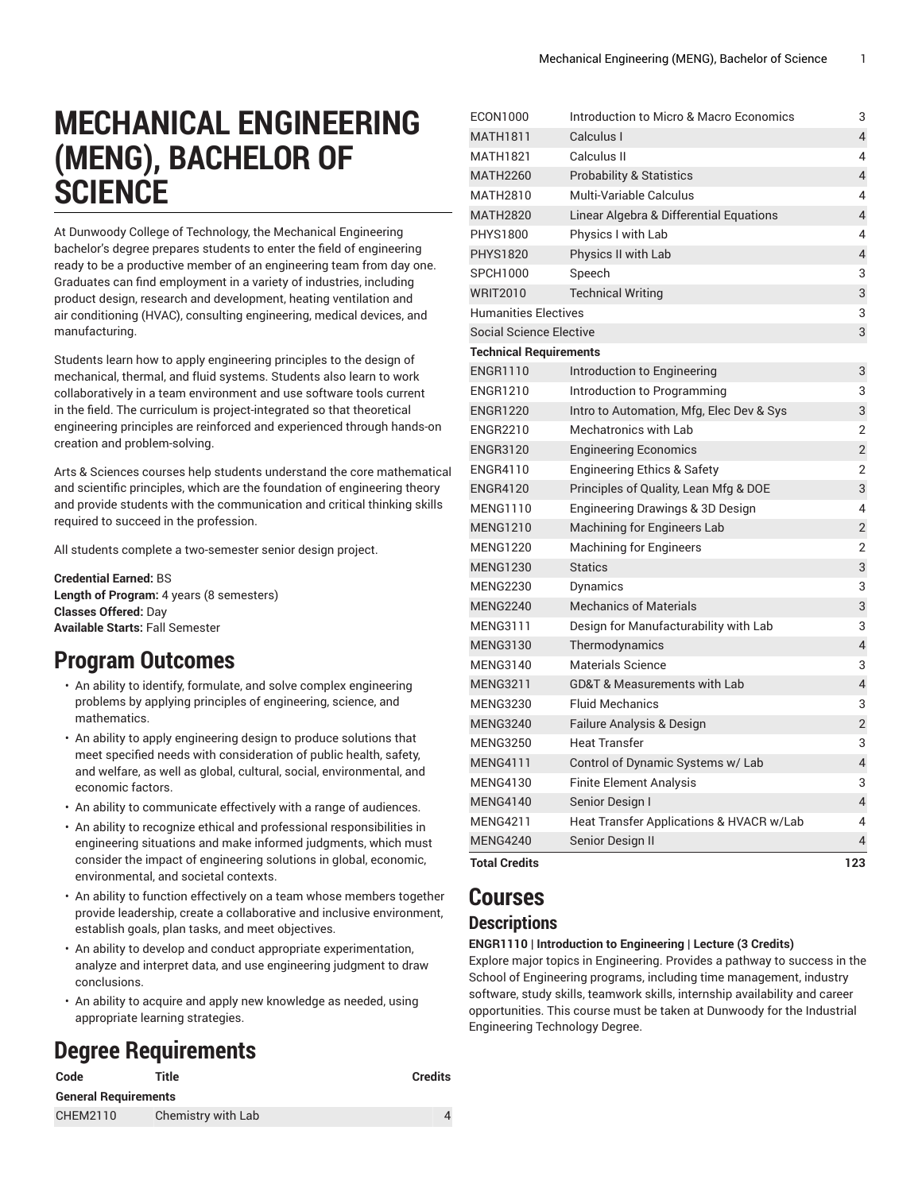# **MECHANICAL ENGINEERING (MENG), BACHELOR OF SCIENCE**

At Dunwoody College of Technology, the Mechanical Engineering bachelor's degree prepares students to enter the field of engineering ready to be a productive member of an engineering team from day one. Graduates can find employment in a variety of industries, including product design, research and development, heating ventilation and air conditioning (HVAC), consulting engineering, medical devices, and manufacturing.

Students learn how to apply engineering principles to the design of mechanical, thermal, and fluid systems. Students also learn to work collaboratively in a team environment and use software tools current in the field. The curriculum is project-integrated so that theoretical engineering principles are reinforced and experienced through hands-on creation and problem-solving.

Arts & Sciences courses help students understand the core mathematical and scientific principles, which are the foundation of engineering theory and provide students with the communication and critical thinking skills required to succeed in the profession.

All students complete a two-semester senior design project.

**Credential Earned:** BS **Length of Program:** 4 years (8 semesters) **Classes Offered:** Day **Available Starts:** Fall Semester

# **Program Outcomes**

- An ability to identify, formulate, and solve complex engineering problems by applying principles of engineering, science, and mathematics.
- An ability to apply engineering design to produce solutions that meet specified needs with consideration of public health, safety, and welfare, as well as global, cultural, social, environmental, and economic factors.
- An ability to communicate effectively with a range of audiences.
- An ability to recognize ethical and professional responsibilities in engineering situations and make informed judgments, which must consider the impact of engineering solutions in global, economic, environmental, and societal contexts.
- An ability to function effectively on a team whose members together provide leadership, create a collaborative and inclusive environment, establish goals, plan tasks, and meet objectives.
- An ability to develop and conduct appropriate experimentation, analyze and interpret data, and use engineering judgment to draw conclusions.
- An ability to acquire and apply new knowledge as needed, using appropriate learning strategies.

# **Degree Requirements**

| Code                        | Title              | <b>Credits</b> |
|-----------------------------|--------------------|----------------|
| <b>General Requirements</b> |                    |                |
| CHEM2110                    | Chemistry with Lab |                |

| <b>MATH1811</b><br>Calculus I<br>Calculus II<br><b>MATH1821</b><br><b>Probability &amp; Statistics</b><br><b>MATH2260</b><br><b>MATH2810</b><br>Multi-Variable Calculus<br>Linear Algebra & Differential Equations<br><b>MATH2820</b><br><b>PHYS1800</b><br>Physics I with Lab<br><b>PHYS1820</b><br>Physics II with Lab<br><b>SPCH1000</b><br>Speech<br><b>WRIT2010</b><br><b>Technical Writing</b><br><b>Humanities Electives</b><br><b>Social Science Elective</b><br><b>Technical Requirements</b><br><b>ENGR1110</b><br>Introduction to Engineering<br><b>ENGR1210</b><br>Introduction to Programming<br><b>ENGR1220</b><br>Intro to Automation, Mfg, Elec Dev & Sys<br><b>ENGR2210</b><br>Mechatronics with Lab<br><b>ENGR3120</b><br><b>Engineering Economics</b><br><b>ENGR4110</b><br><b>Engineering Ethics &amp; Safety</b><br><b>ENGR4120</b><br>Principles of Quality, Lean Mfg & DOE<br><b>MENG1110</b><br>Engineering Drawings & 3D Design<br><b>MENG1210</b><br>Machining for Engineers Lab<br><b>MENG1220</b><br><b>Machining for Engineers</b><br><b>MENG1230</b><br><b>Statics</b><br><b>MENG2230</b><br>Dynamics<br><b>Mechanics of Materials</b><br><b>MENG2240</b><br><b>MENG3111</b><br>Design for Manufacturability with Lab<br><b>MENG3130</b><br>Thermodynamics<br>Materials Science<br><b>MENG3140</b><br><b>GD&amp;T &amp; Measurements with Lab</b><br><b>MENG3211</b><br><b>Fluid Mechanics</b><br><b>MENG3230</b><br><b>MENG3240</b><br>Failure Analysis & Design<br><b>MENG3250</b><br><b>Heat Transfer</b><br><b>MENG4111</b><br>Control of Dynamic Systems w/ Lab<br><b>MENG4130</b><br><b>Finite Element Analysis</b><br><b>MENG4140</b><br>Senior Design I<br><b>MENG4211</b><br>Heat Transfer Applications & HVACR w/Lab<br><b>MENG4240</b><br>Senior Design II | ECON1000 | Introduction to Micro & Macro Economics | 3                        |
|-----------------------------------------------------------------------------------------------------------------------------------------------------------------------------------------------------------------------------------------------------------------------------------------------------------------------------------------------------------------------------------------------------------------------------------------------------------------------------------------------------------------------------------------------------------------------------------------------------------------------------------------------------------------------------------------------------------------------------------------------------------------------------------------------------------------------------------------------------------------------------------------------------------------------------------------------------------------------------------------------------------------------------------------------------------------------------------------------------------------------------------------------------------------------------------------------------------------------------------------------------------------------------------------------------------------------------------------------------------------------------------------------------------------------------------------------------------------------------------------------------------------------------------------------------------------------------------------------------------------------------------------------------------------------------------------------------------------------------------------------------------------------------------------------------|----------|-----------------------------------------|--------------------------|
|                                                                                                                                                                                                                                                                                                                                                                                                                                                                                                                                                                                                                                                                                                                                                                                                                                                                                                                                                                                                                                                                                                                                                                                                                                                                                                                                                                                                                                                                                                                                                                                                                                                                                                                                                                                                     |          |                                         | 4                        |
|                                                                                                                                                                                                                                                                                                                                                                                                                                                                                                                                                                                                                                                                                                                                                                                                                                                                                                                                                                                                                                                                                                                                                                                                                                                                                                                                                                                                                                                                                                                                                                                                                                                                                                                                                                                                     |          |                                         | 4                        |
|                                                                                                                                                                                                                                                                                                                                                                                                                                                                                                                                                                                                                                                                                                                                                                                                                                                                                                                                                                                                                                                                                                                                                                                                                                                                                                                                                                                                                                                                                                                                                                                                                                                                                                                                                                                                     |          |                                         | 4                        |
|                                                                                                                                                                                                                                                                                                                                                                                                                                                                                                                                                                                                                                                                                                                                                                                                                                                                                                                                                                                                                                                                                                                                                                                                                                                                                                                                                                                                                                                                                                                                                                                                                                                                                                                                                                                                     |          |                                         | 4                        |
|                                                                                                                                                                                                                                                                                                                                                                                                                                                                                                                                                                                                                                                                                                                                                                                                                                                                                                                                                                                                                                                                                                                                                                                                                                                                                                                                                                                                                                                                                                                                                                                                                                                                                                                                                                                                     |          |                                         | 4                        |
|                                                                                                                                                                                                                                                                                                                                                                                                                                                                                                                                                                                                                                                                                                                                                                                                                                                                                                                                                                                                                                                                                                                                                                                                                                                                                                                                                                                                                                                                                                                                                                                                                                                                                                                                                                                                     |          |                                         | 4                        |
|                                                                                                                                                                                                                                                                                                                                                                                                                                                                                                                                                                                                                                                                                                                                                                                                                                                                                                                                                                                                                                                                                                                                                                                                                                                                                                                                                                                                                                                                                                                                                                                                                                                                                                                                                                                                     |          |                                         | 4                        |
|                                                                                                                                                                                                                                                                                                                                                                                                                                                                                                                                                                                                                                                                                                                                                                                                                                                                                                                                                                                                                                                                                                                                                                                                                                                                                                                                                                                                                                                                                                                                                                                                                                                                                                                                                                                                     |          |                                         | 3                        |
|                                                                                                                                                                                                                                                                                                                                                                                                                                                                                                                                                                                                                                                                                                                                                                                                                                                                                                                                                                                                                                                                                                                                                                                                                                                                                                                                                                                                                                                                                                                                                                                                                                                                                                                                                                                                     |          |                                         | 3                        |
|                                                                                                                                                                                                                                                                                                                                                                                                                                                                                                                                                                                                                                                                                                                                                                                                                                                                                                                                                                                                                                                                                                                                                                                                                                                                                                                                                                                                                                                                                                                                                                                                                                                                                                                                                                                                     |          |                                         | 3                        |
|                                                                                                                                                                                                                                                                                                                                                                                                                                                                                                                                                                                                                                                                                                                                                                                                                                                                                                                                                                                                                                                                                                                                                                                                                                                                                                                                                                                                                                                                                                                                                                                                                                                                                                                                                                                                     |          |                                         | 3                        |
|                                                                                                                                                                                                                                                                                                                                                                                                                                                                                                                                                                                                                                                                                                                                                                                                                                                                                                                                                                                                                                                                                                                                                                                                                                                                                                                                                                                                                                                                                                                                                                                                                                                                                                                                                                                                     |          |                                         |                          |
|                                                                                                                                                                                                                                                                                                                                                                                                                                                                                                                                                                                                                                                                                                                                                                                                                                                                                                                                                                                                                                                                                                                                                                                                                                                                                                                                                                                                                                                                                                                                                                                                                                                                                                                                                                                                     |          |                                         | 3                        |
|                                                                                                                                                                                                                                                                                                                                                                                                                                                                                                                                                                                                                                                                                                                                                                                                                                                                                                                                                                                                                                                                                                                                                                                                                                                                                                                                                                                                                                                                                                                                                                                                                                                                                                                                                                                                     |          |                                         | 3                        |
|                                                                                                                                                                                                                                                                                                                                                                                                                                                                                                                                                                                                                                                                                                                                                                                                                                                                                                                                                                                                                                                                                                                                                                                                                                                                                                                                                                                                                                                                                                                                                                                                                                                                                                                                                                                                     |          |                                         | 3                        |
|                                                                                                                                                                                                                                                                                                                                                                                                                                                                                                                                                                                                                                                                                                                                                                                                                                                                                                                                                                                                                                                                                                                                                                                                                                                                                                                                                                                                                                                                                                                                                                                                                                                                                                                                                                                                     |          |                                         | $\overline{2}$           |
|                                                                                                                                                                                                                                                                                                                                                                                                                                                                                                                                                                                                                                                                                                                                                                                                                                                                                                                                                                                                                                                                                                                                                                                                                                                                                                                                                                                                                                                                                                                                                                                                                                                                                                                                                                                                     |          |                                         | $\overline{2}$           |
|                                                                                                                                                                                                                                                                                                                                                                                                                                                                                                                                                                                                                                                                                                                                                                                                                                                                                                                                                                                                                                                                                                                                                                                                                                                                                                                                                                                                                                                                                                                                                                                                                                                                                                                                                                                                     |          |                                         | 2                        |
|                                                                                                                                                                                                                                                                                                                                                                                                                                                                                                                                                                                                                                                                                                                                                                                                                                                                                                                                                                                                                                                                                                                                                                                                                                                                                                                                                                                                                                                                                                                                                                                                                                                                                                                                                                                                     |          |                                         | 3                        |
|                                                                                                                                                                                                                                                                                                                                                                                                                                                                                                                                                                                                                                                                                                                                                                                                                                                                                                                                                                                                                                                                                                                                                                                                                                                                                                                                                                                                                                                                                                                                                                                                                                                                                                                                                                                                     |          |                                         | 4                        |
|                                                                                                                                                                                                                                                                                                                                                                                                                                                                                                                                                                                                                                                                                                                                                                                                                                                                                                                                                                                                                                                                                                                                                                                                                                                                                                                                                                                                                                                                                                                                                                                                                                                                                                                                                                                                     |          |                                         | $\overline{2}$           |
|                                                                                                                                                                                                                                                                                                                                                                                                                                                                                                                                                                                                                                                                                                                                                                                                                                                                                                                                                                                                                                                                                                                                                                                                                                                                                                                                                                                                                                                                                                                                                                                                                                                                                                                                                                                                     |          |                                         | 2                        |
|                                                                                                                                                                                                                                                                                                                                                                                                                                                                                                                                                                                                                                                                                                                                                                                                                                                                                                                                                                                                                                                                                                                                                                                                                                                                                                                                                                                                                                                                                                                                                                                                                                                                                                                                                                                                     |          |                                         | 3                        |
|                                                                                                                                                                                                                                                                                                                                                                                                                                                                                                                                                                                                                                                                                                                                                                                                                                                                                                                                                                                                                                                                                                                                                                                                                                                                                                                                                                                                                                                                                                                                                                                                                                                                                                                                                                                                     |          |                                         | 3                        |
|                                                                                                                                                                                                                                                                                                                                                                                                                                                                                                                                                                                                                                                                                                                                                                                                                                                                                                                                                                                                                                                                                                                                                                                                                                                                                                                                                                                                                                                                                                                                                                                                                                                                                                                                                                                                     |          |                                         | 3                        |
|                                                                                                                                                                                                                                                                                                                                                                                                                                                                                                                                                                                                                                                                                                                                                                                                                                                                                                                                                                                                                                                                                                                                                                                                                                                                                                                                                                                                                                                                                                                                                                                                                                                                                                                                                                                                     |          |                                         | 3                        |
|                                                                                                                                                                                                                                                                                                                                                                                                                                                                                                                                                                                                                                                                                                                                                                                                                                                                                                                                                                                                                                                                                                                                                                                                                                                                                                                                                                                                                                                                                                                                                                                                                                                                                                                                                                                                     |          |                                         | $\overline{\mathcal{L}}$ |
|                                                                                                                                                                                                                                                                                                                                                                                                                                                                                                                                                                                                                                                                                                                                                                                                                                                                                                                                                                                                                                                                                                                                                                                                                                                                                                                                                                                                                                                                                                                                                                                                                                                                                                                                                                                                     |          |                                         | 3                        |
|                                                                                                                                                                                                                                                                                                                                                                                                                                                                                                                                                                                                                                                                                                                                                                                                                                                                                                                                                                                                                                                                                                                                                                                                                                                                                                                                                                                                                                                                                                                                                                                                                                                                                                                                                                                                     |          |                                         | 4                        |
|                                                                                                                                                                                                                                                                                                                                                                                                                                                                                                                                                                                                                                                                                                                                                                                                                                                                                                                                                                                                                                                                                                                                                                                                                                                                                                                                                                                                                                                                                                                                                                                                                                                                                                                                                                                                     |          |                                         | 3                        |
|                                                                                                                                                                                                                                                                                                                                                                                                                                                                                                                                                                                                                                                                                                                                                                                                                                                                                                                                                                                                                                                                                                                                                                                                                                                                                                                                                                                                                                                                                                                                                                                                                                                                                                                                                                                                     |          |                                         | $\overline{2}$           |
|                                                                                                                                                                                                                                                                                                                                                                                                                                                                                                                                                                                                                                                                                                                                                                                                                                                                                                                                                                                                                                                                                                                                                                                                                                                                                                                                                                                                                                                                                                                                                                                                                                                                                                                                                                                                     |          |                                         | 3                        |
|                                                                                                                                                                                                                                                                                                                                                                                                                                                                                                                                                                                                                                                                                                                                                                                                                                                                                                                                                                                                                                                                                                                                                                                                                                                                                                                                                                                                                                                                                                                                                                                                                                                                                                                                                                                                     |          |                                         | 4                        |
|                                                                                                                                                                                                                                                                                                                                                                                                                                                                                                                                                                                                                                                                                                                                                                                                                                                                                                                                                                                                                                                                                                                                                                                                                                                                                                                                                                                                                                                                                                                                                                                                                                                                                                                                                                                                     |          |                                         | 3                        |
|                                                                                                                                                                                                                                                                                                                                                                                                                                                                                                                                                                                                                                                                                                                                                                                                                                                                                                                                                                                                                                                                                                                                                                                                                                                                                                                                                                                                                                                                                                                                                                                                                                                                                                                                                                                                     |          |                                         | 4                        |
|                                                                                                                                                                                                                                                                                                                                                                                                                                                                                                                                                                                                                                                                                                                                                                                                                                                                                                                                                                                                                                                                                                                                                                                                                                                                                                                                                                                                                                                                                                                                                                                                                                                                                                                                                                                                     |          |                                         | 4                        |
|                                                                                                                                                                                                                                                                                                                                                                                                                                                                                                                                                                                                                                                                                                                                                                                                                                                                                                                                                                                                                                                                                                                                                                                                                                                                                                                                                                                                                                                                                                                                                                                                                                                                                                                                                                                                     |          |                                         | 4                        |

## **Total Credits 123**

## **Courses**

### **Descriptions**

#### **ENGR1110 | Introduction to Engineering | Lecture (3 Credits)**

Explore major topics in Engineering. Provides a pathway to success in the School of Engineering programs, including time management, industry software, study skills, teamwork skills, internship availability and career opportunities. This course must be taken at Dunwoody for the Industrial Engineering Technology Degree.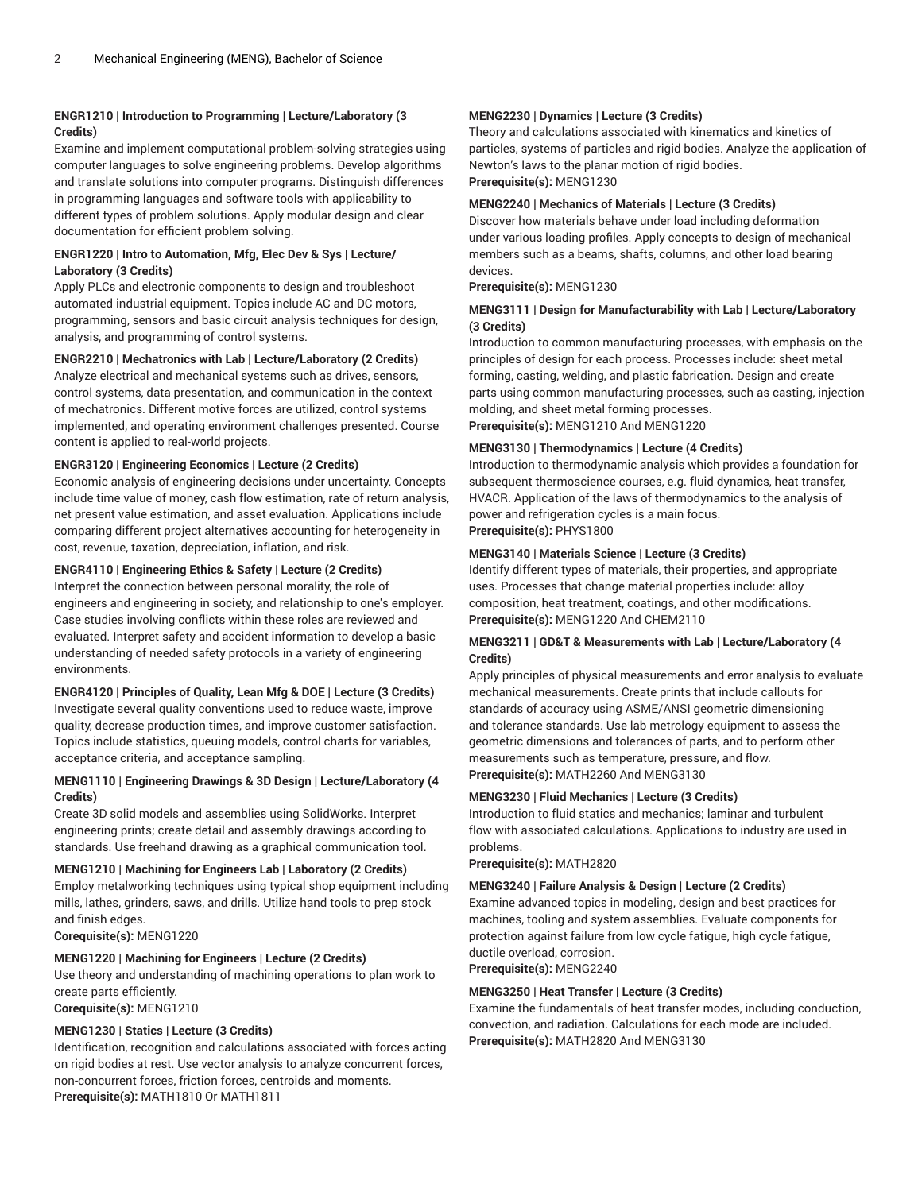#### **ENGR1210 | Introduction to Programming | Lecture/Laboratory (3 Credits)**

Examine and implement computational problem-solving strategies using computer languages to solve engineering problems. Develop algorithms and translate solutions into computer programs. Distinguish differences in programming languages and software tools with applicability to different types of problem solutions. Apply modular design and clear documentation for efficient problem solving.

#### **ENGR1220 | Intro to Automation, Mfg, Elec Dev & Sys | Lecture/ Laboratory (3 Credits)**

Apply PLCs and electronic components to design and troubleshoot automated industrial equipment. Topics include AC and DC motors, programming, sensors and basic circuit analysis techniques for design, analysis, and programming of control systems.

#### **ENGR2210 | Mechatronics with Lab | Lecture/Laboratory (2 Credits)**

Analyze electrical and mechanical systems such as drives, sensors, control systems, data presentation, and communication in the context of mechatronics. Different motive forces are utilized, control systems implemented, and operating environment challenges presented. Course content is applied to real-world projects.

#### **ENGR3120 | Engineering Economics | Lecture (2 Credits)**

Economic analysis of engineering decisions under uncertainty. Concepts include time value of money, cash flow estimation, rate of return analysis, net present value estimation, and asset evaluation. Applications include comparing different project alternatives accounting for heterogeneity in cost, revenue, taxation, depreciation, inflation, and risk.

#### **ENGR4110 | Engineering Ethics & Safety | Lecture (2 Credits)**

Interpret the connection between personal morality, the role of engineers and engineering in society, and relationship to one's employer. Case studies involving conflicts within these roles are reviewed and evaluated. Interpret safety and accident information to develop a basic understanding of needed safety protocols in a variety of engineering environments.

#### **ENGR4120 | Principles of Quality, Lean Mfg & DOE | Lecture (3 Credits)**

Investigate several quality conventions used to reduce waste, improve quality, decrease production times, and improve customer satisfaction. Topics include statistics, queuing models, control charts for variables, acceptance criteria, and acceptance sampling.

#### **MENG1110 | Engineering Drawings & 3D Design | Lecture/Laboratory (4 Credits)**

Create 3D solid models and assemblies using SolidWorks. Interpret engineering prints; create detail and assembly drawings according to standards. Use freehand drawing as a graphical communication tool.

#### **MENG1210 | Machining for Engineers Lab | Laboratory (2 Credits)**

Employ metalworking techniques using typical shop equipment including mills, lathes, grinders, saws, and drills. Utilize hand tools to prep stock and finish edges.

**Corequisite(s):** MENG1220

#### **MENG1220 | Machining for Engineers | Lecture (2 Credits)**

Use theory and understanding of machining operations to plan work to create parts efficiently.

**Corequisite(s):** MENG1210

#### **MENG1230 | Statics | Lecture (3 Credits)**

Identification, recognition and calculations associated with forces acting on rigid bodies at rest. Use vector analysis to analyze concurrent forces, non-concurrent forces, friction forces, centroids and moments. **Prerequisite(s):** MATH1810 Or MATH1811

#### **MENG2230 | Dynamics | Lecture (3 Credits)**

Theory and calculations associated with kinematics and kinetics of particles, systems of particles and rigid bodies. Analyze the application of Newton's laws to the planar motion of rigid bodies. **Prerequisite(s):** MENG1230

#### **MENG2240 | Mechanics of Materials | Lecture (3 Credits)**

Discover how materials behave under load including deformation under various loading profiles. Apply concepts to design of mechanical members such as a beams, shafts, columns, and other load bearing devices.

#### **Prerequisite(s):** MENG1230

#### **MENG3111 | Design for Manufacturability with Lab | Lecture/Laboratory (3 Credits)**

Introduction to common manufacturing processes, with emphasis on the principles of design for each process. Processes include: sheet metal forming, casting, welding, and plastic fabrication. Design and create parts using common manufacturing processes, such as casting, injection molding, and sheet metal forming processes. **Prerequisite(s):** MENG1210 And MENG1220

**MENG3130 | Thermodynamics | Lecture (4 Credits)**

#### Introduction to thermodynamic analysis which provides a foundation for subsequent thermoscience courses, e.g. fluid dynamics, heat transfer, HVACR. Application of the laws of thermodynamics to the analysis of power and refrigeration cycles is a main focus. **Prerequisite(s):** PHYS1800

#### **MENG3140 | Materials Science | Lecture (3 Credits)**

Identify different types of materials, their properties, and appropriate uses. Processes that change material properties include: alloy composition, heat treatment, coatings, and other modifications. **Prerequisite(s):** MENG1220 And CHEM2110

#### **MENG3211 | GD&T & Measurements with Lab | Lecture/Laboratory (4 Credits)**

Apply principles of physical measurements and error analysis to evaluate mechanical measurements. Create prints that include callouts for standards of accuracy using ASME/ANSI geometric dimensioning and tolerance standards. Use lab metrology equipment to assess the geometric dimensions and tolerances of parts, and to perform other measurements such as temperature, pressure, and flow. **Prerequisite(s):** MATH2260 And MENG3130

#### **MENG3230 | Fluid Mechanics | Lecture (3 Credits)**

Introduction to fluid statics and mechanics; laminar and turbulent flow with associated calculations. Applications to industry are used in problems.

**Prerequisite(s):** MATH2820

#### **MENG3240 | Failure Analysis & Design | Lecture (2 Credits)**

Examine advanced topics in modeling, design and best practices for machines, tooling and system assemblies. Evaluate components for protection against failure from low cycle fatigue, high cycle fatigue, ductile overload, corrosion.

**Prerequisite(s):** MENG2240

#### **MENG3250 | Heat Transfer | Lecture (3 Credits)**

Examine the fundamentals of heat transfer modes, including conduction, convection, and radiation. Calculations for each mode are included. **Prerequisite(s):** MATH2820 And MENG3130